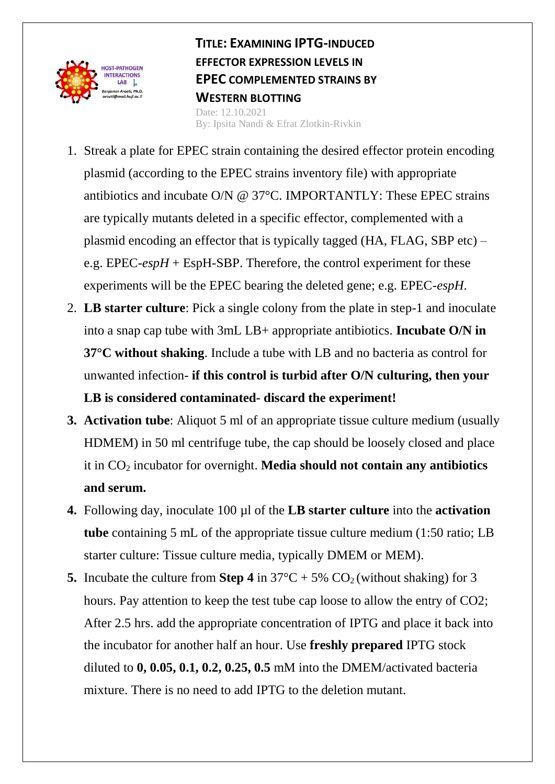

**TITLE: EXAMINING IPTG-INDUCED EFFECTOR EXPRESSION LEVELS IN EPEC COMPLEMENTED STRAINS BY WESTERN BLOTTING** Date: 12.10.2021 By: Ipsita Nandi & Efrat Zlotkin-Rivkin

- 1. Streak a plate for EPEC strain containing the desired effector protein encoding plasmid (according to the EPEC strains inventory file) with appropriate antibiotics and incubate O/N @ 37°C. IMPORTANTLY: These EPEC strains are typically mutants deleted in a specific effector, complemented with a plasmid encoding an effector that is typically tagged (HA, FLAG, SBP etc) – e.g. EPEC-*espH* + EspH-SBP. Therefore, the control experiment for these experiments will be the EPEC bearing the deleted gene; e.g. EPEC-*espH*.
- 2. **LB starter culture**: Pick a single colony from the plate in step-1 and inoculate into a snap cap tube with 3mL LB+ appropriate antibiotics. **Incubate O/N in 37°C without shaking**. Include a tube with LB and no bacteria as control for unwanted infection- **if this control is turbid after O/N culturing, then your LB is considered contaminated- discard the experiment!**
- **3. Activation tube**: Aliquot 5 ml of an appropriate tissue culture medium (usually HDMEM) in 50 ml centrifuge tube, the cap should be loosely closed and place it in CO<sup>2</sup> incubator for overnight. **Media should not contain any antibiotics and serum.**
- **4.** Following day, inoculate 100 µl of the **LB starter culture** into the **activation tube** containing 5 mL of the appropriate tissue culture medium (1:50 ratio; LB starter culture: Tissue culture media, typically DMEM or MEM).
- **5.** Incubate the culture from **Step 4** in  $37^{\circ}C + 5\%$  CO<sub>2</sub> (without shaking) for 3 hours. Pay attention to keep the test tube cap loose to allow the entry of CO2; After 2.5 hrs. add the appropriate concentration of IPTG and place it back into the incubator for another half an hour. Use **freshly prepared** IPTG stock diluted to **0, 0.05, 0.1, 0.2, 0.25, 0.5** mM into the DMEM/activated bacteria mixture. There is no need to add IPTG to the deletion mutant.